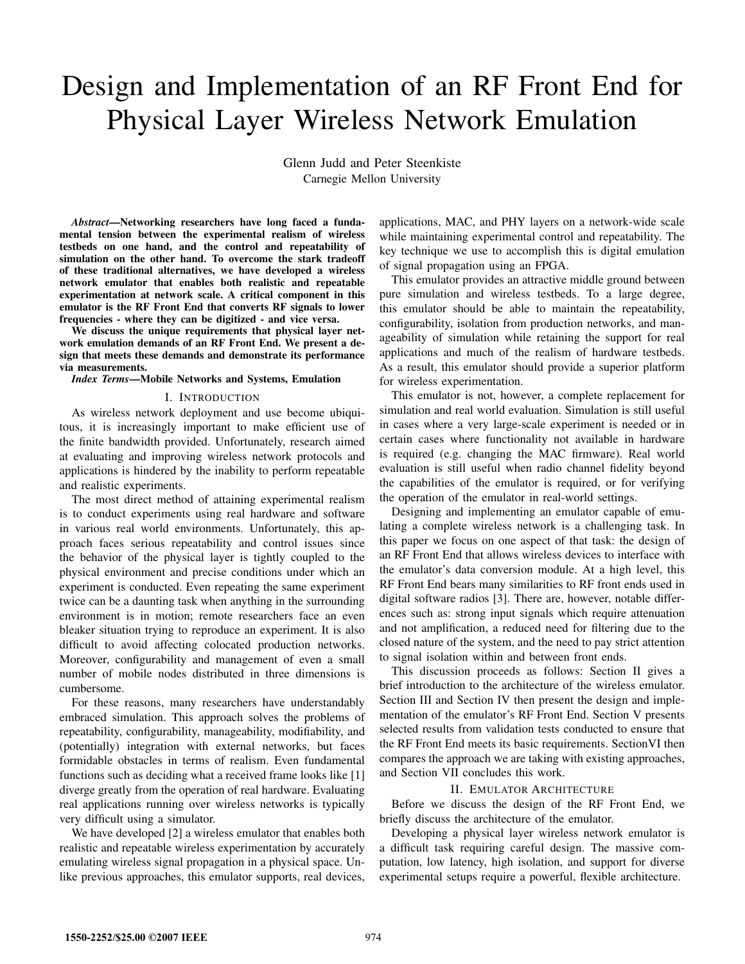# Design and Implementation of an RF Front End for Physical Layer Wireless Network Emulation

Glenn Judd and Peter Steenkiste Carnegie Mellon University

*Abstract***—Networking researchers have long faced a fundamental tension between the experimental realism of wireless testbeds on one hand, and the control and repeatability of simulation on the other hand. To overcome the stark tradeoff of these traditional alternatives, we have developed a wireless network emulator that enables both realistic and repeatable experimentation at network scale. A critical component in this emulator is the RF Front End that converts RF signals to lower frequencies - where they can be digitized - and vice versa.**

**We discuss the unique requirements that physical layer network emulation demands of an RF Front End. We present a design that meets these demands and demonstrate its performance via measurements.**

#### *Index Terms***—Mobile Networks and Systems, Emulation**

#### I. INTRODUCTION

As wireless network deployment and use become ubiquitous, it is increasingly important to make efficient use of the finite bandwidth provided. Unfortunately, research aimed at evaluating and improving wireless network protocols and applications is hindered by the inability to perform repeatable and realistic experiments.

The most direct method of attaining experimental realism is to conduct experiments using real hardware and software in various real world environments. Unfortunately, this approach faces serious repeatability and control issues since the behavior of the physical layer is tightly coupled to the physical environment and precise conditions under which an experiment is conducted. Even repeating the same experiment twice can be a daunting task when anything in the surrounding environment is in motion; remote researchers face an even bleaker situation trying to reproduce an experiment. It is also difficult to avoid affecting colocated production networks. Moreover, configurability and management of even a small number of mobile nodes distributed in three dimensions is cumbersome.

For these reasons, many researchers have understandably embraced simulation. This approach solves the problems of repeatability, configurability, manageability, modifiability, and (potentially) integration with external networks, but faces formidable obstacles in terms of realism. Even fundamental functions such as deciding what a received frame looks like [1] diverge greatly from the operation of real hardware. Evaluating real applications running over wireless networks is typically very difficult using a simulator.

We have developed [2] a wireless emulator that enables both realistic and repeatable wireless experimentation by accurately emulating wireless signal propagation in a physical space. Unlike previous approaches, this emulator supports, real devices, applications, MAC, and PHY layers on a network-wide scale while maintaining experimental control and repeatability. The key technique we use to accomplish this is digital emulation of signal propagation using an FPGA.

This emulator provides an attractive middle ground between pure simulation and wireless testbeds. To a large degree, this emulator should be able to maintain the repeatability, configurability, isolation from production networks, and manageability of simulation while retaining the support for real applications and much of the realism of hardware testbeds. As a result, this emulator should provide a superior platform for wireless experimentation.

This emulator is not, however, a complete replacement for simulation and real world evaluation. Simulation is still useful in cases where a very large-scale experiment is needed or in certain cases where functionality not available in hardware is required (e.g. changing the MAC firmware). Real world evaluation is still useful when radio channel fidelity beyond the capabilities of the emulator is required, or for verifying the operation of the emulator in real-world settings.

Designing and implementing an emulator capable of emulating a complete wireless network is a challenging task. In this paper we focus on one aspect of that task: the design of an RF Front End that allows wireless devices to interface with the emulator's data conversion module. At a high level, this RF Front End bears many similarities to RF front ends used in digital software radios [3]. There are, however, notable differences such as: strong input signals which require attenuation and not amplification, a reduced need for filtering due to the closed nature of the system, and the need to pay strict attention to signal isolation within and between front ends.

This discussion proceeds as follows: Section II gives a brief introduction to the architecture of the wireless emulator. Section III and Section IV then present the design and implementation of the emulator's RF Front End. Section V presents selected results from validation tests conducted to ensure that the RF Front End meets its basic requirements. SectionVI then compares the approach we are taking with existing approaches, and Section VII concludes this work.

#### II. EMULATOR ARCHITECTURE

Before we discuss the design of the RF Front End, we briefly discuss the architecture of the emulator.

Developing a physical layer wireless network emulator is a difficult task requiring careful design. The massive computation, low latency, high isolation, and support for diverse experimental setups require a powerful, flexible architecture.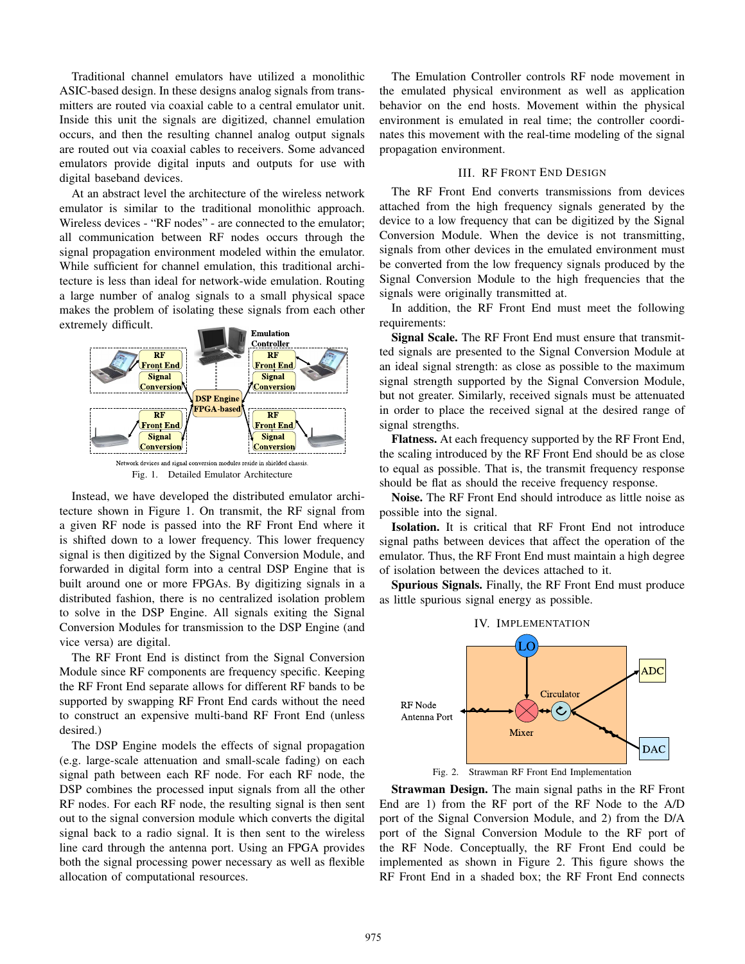Traditional channel emulators have utilized a monolithic ASIC-based design. In these designs analog signals from transmitters are routed via coaxial cable to a central emulator unit. Inside this unit the signals are digitized, channel emulation occurs, and then the resulting channel analog output signals are routed out via coaxial cables to receivers. Some advanced emulators provide digital inputs and outputs for use with digital baseband devices.

At an abstract level the architecture of the wireless network emulator is similar to the traditional monolithic approach. Wireless devices - "RF nodes" - are connected to the emulator; all communication between RF nodes occurs through the signal propagation environment modeled within the emulator. While sufficient for channel emulation, this traditional architecture is less than ideal for network-wide emulation. Routing a large number of analog signals to a small physical space makes the problem of isolating these signals from each other extremely difficult.



Fig. 1. Detailed Emulator Architecture

Instead, we have developed the distributed emulator architecture shown in Figure 1. On transmit, the RF signal from a given RF node is passed into the RF Front End where it is shifted down to a lower frequency. This lower frequency signal is then digitized by the Signal Conversion Module, and forwarded in digital form into a central DSP Engine that is built around one or more FPGAs. By digitizing signals in a distributed fashion, there is no centralized isolation problem to solve in the DSP Engine. All signals exiting the Signal Conversion Modules for transmission to the DSP Engine (and vice versa) are digital.

The RF Front End is distinct from the Signal Conversion Module since RF components are frequency specific. Keeping the RF Front End separate allows for different RF bands to be supported by swapping RF Front End cards without the need to construct an expensive multi-band RF Front End (unless desired.)

The DSP Engine models the effects of signal propagation (e.g. large-scale attenuation and small-scale fading) on each signal path between each RF node. For each RF node, the DSP combines the processed input signals from all the other RF nodes. For each RF node, the resulting signal is then sent out to the signal conversion module which converts the digital signal back to a radio signal. It is then sent to the wireless line card through the antenna port. Using an FPGA provides both the signal processing power necessary as well as flexible allocation of computational resources.

The Emulation Controller controls RF node movement in the emulated physical environment as well as application behavior on the end hosts. Movement within the physical environment is emulated in real time; the controller coordinates this movement with the real-time modeling of the signal propagation environment.

## III. RF FRONT END DESIGN

The RF Front End converts transmissions from devices attached from the high frequency signals generated by the device to a low frequency that can be digitized by the Signal Conversion Module. When the device is not transmitting, signals from other devices in the emulated environment must be converted from the low frequency signals produced by the Signal Conversion Module to the high frequencies that the signals were originally transmitted at.

In addition, the RF Front End must meet the following requirements:

**Signal Scale.** The RF Front End must ensure that transmitted signals are presented to the Signal Conversion Module at an ideal signal strength: as close as possible to the maximum signal strength supported by the Signal Conversion Module, but not greater. Similarly, received signals must be attenuated in order to place the received signal at the desired range of signal strengths.

**Flatness.** At each frequency supported by the RF Front End, the scaling introduced by the RF Front End should be as close to equal as possible. That is, the transmit frequency response should be flat as should the receive frequency response.

**Noise.** The RF Front End should introduce as little noise as possible into the signal.

**Isolation.** It is critical that RF Front End not introduce signal paths between devices that affect the operation of the emulator. Thus, the RF Front End must maintain a high degree of isolation between the devices attached to it.

**Spurious Signals.** Finally, the RF Front End must produce as little spurious signal energy as possible.



Fig. 2. Strawman RF Front End Implementation

**Strawman Design.** The main signal paths in the RF Front End are 1) from the RF port of the RF Node to the A/D port of the Signal Conversion Module, and 2) from the D/A port of the Signal Conversion Module to the RF port of the RF Node. Conceptually, the RF Front End could be implemented as shown in Figure 2. This figure shows the RF Front End in a shaded box; the RF Front End connects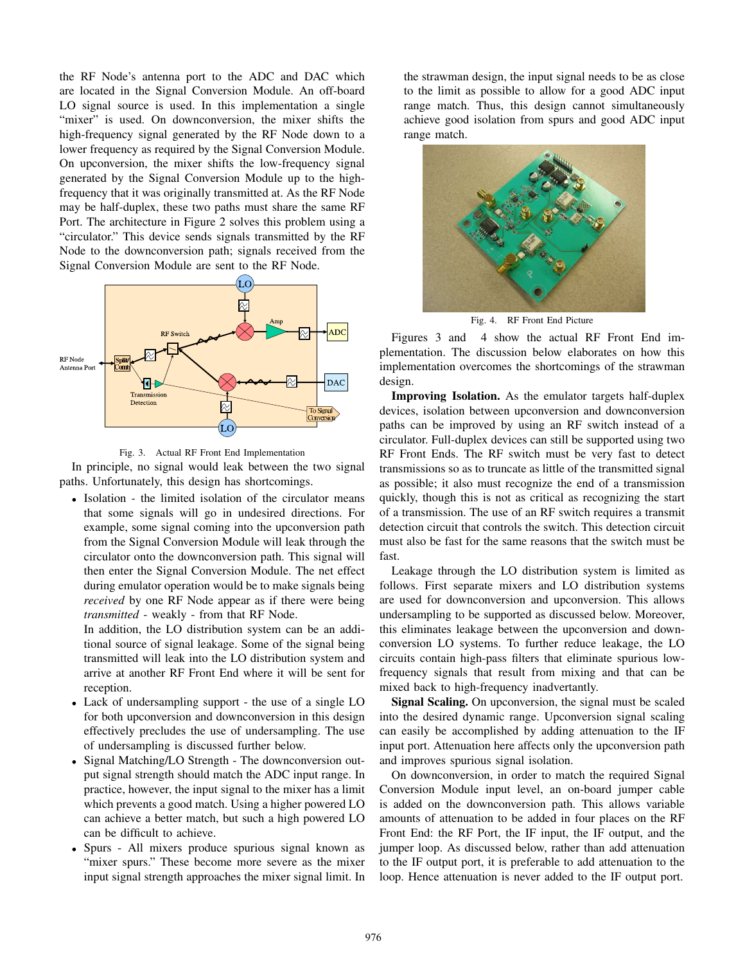the RF Node's antenna port to the ADC and DAC which are located in the Signal Conversion Module. An off-board LO signal source is used. In this implementation a single "mixer" is used. On downconversion, the mixer shifts the high-frequency signal generated by the RF Node down to a lower frequency as required by the Signal Conversion Module. On upconversion, the mixer shifts the low-frequency signal generated by the Signal Conversion Module up to the highfrequency that it was originally transmitted at. As the RF Node may be half-duplex, these two paths must share the same RF Port. The architecture in Figure 2 solves this problem using a "circulator." This device sends signals transmitted by the RF Node to the downconversion path; signals received from the Signal Conversion Module are sent to the RF Node.





In principle, no signal would leak between the two signal paths. Unfortunately, this design has shortcomings.

*•* Isolation - the limited isolation of the circulator means that some signals will go in undesired directions. For example, some signal coming into the upconversion path from the Signal Conversion Module will leak through the circulator onto the downconversion path. This signal will then enter the Signal Conversion Module. The net effect during emulator operation would be to make signals being *received* by one RF Node appear as if there were being *transmitted* - weakly - from that RF Node.

In addition, the LO distribution system can be an additional source of signal leakage. Some of the signal being transmitted will leak into the LO distribution system and arrive at another RF Front End where it will be sent for reception.

- *•* Lack of undersampling support the use of a single LO for both upconversion and downconversion in this design effectively precludes the use of undersampling. The use of undersampling is discussed further below.
- *•* Signal Matching/LO Strength The downconversion output signal strength should match the ADC input range. In practice, however, the input signal to the mixer has a limit which prevents a good match. Using a higher powered LO can achieve a better match, but such a high powered LO can be difficult to achieve.
- *•* Spurs All mixers produce spurious signal known as "mixer spurs." These become more severe as the mixer input signal strength approaches the mixer signal limit. In

the strawman design, the input signal needs to be as close to the limit as possible to allow for a good ADC input range match. Thus, this design cannot simultaneously achieve good isolation from spurs and good ADC input range match.



Fig. 4. RF Front End Picture

Figures 3 and 4 show the actual RF Front End implementation. The discussion below elaborates on how this implementation overcomes the shortcomings of the strawman design.

**Improving Isolation.** As the emulator targets half-duplex devices, isolation between upconversion and downconversion paths can be improved by using an RF switch instead of a circulator. Full-duplex devices can still be supported using two RF Front Ends. The RF switch must be very fast to detect transmissions so as to truncate as little of the transmitted signal as possible; it also must recognize the end of a transmission quickly, though this is not as critical as recognizing the start of a transmission. The use of an RF switch requires a transmit detection circuit that controls the switch. This detection circuit must also be fast for the same reasons that the switch must be fast.

Leakage through the LO distribution system is limited as follows. First separate mixers and LO distribution systems are used for downconversion and upconversion. This allows undersampling to be supported as discussed below. Moreover, this eliminates leakage between the upconversion and downconversion LO systems. To further reduce leakage, the LO circuits contain high-pass filters that eliminate spurious lowfrequency signals that result from mixing and that can be mixed back to high-frequency inadvertantly.

**Signal Scaling.** On upconversion, the signal must be scaled into the desired dynamic range. Upconversion signal scaling can easily be accomplished by adding attenuation to the IF input port. Attenuation here affects only the upconversion path and improves spurious signal isolation.

On downconversion, in order to match the required Signal Conversion Module input level, an on-board jumper cable is added on the downconversion path. This allows variable amounts of attenuation to be added in four places on the RF Front End: the RF Port, the IF input, the IF output, and the jumper loop. As discussed below, rather than add attenuation to the IF output port, it is preferable to add attenuation to the loop. Hence attenuation is never added to the IF output port.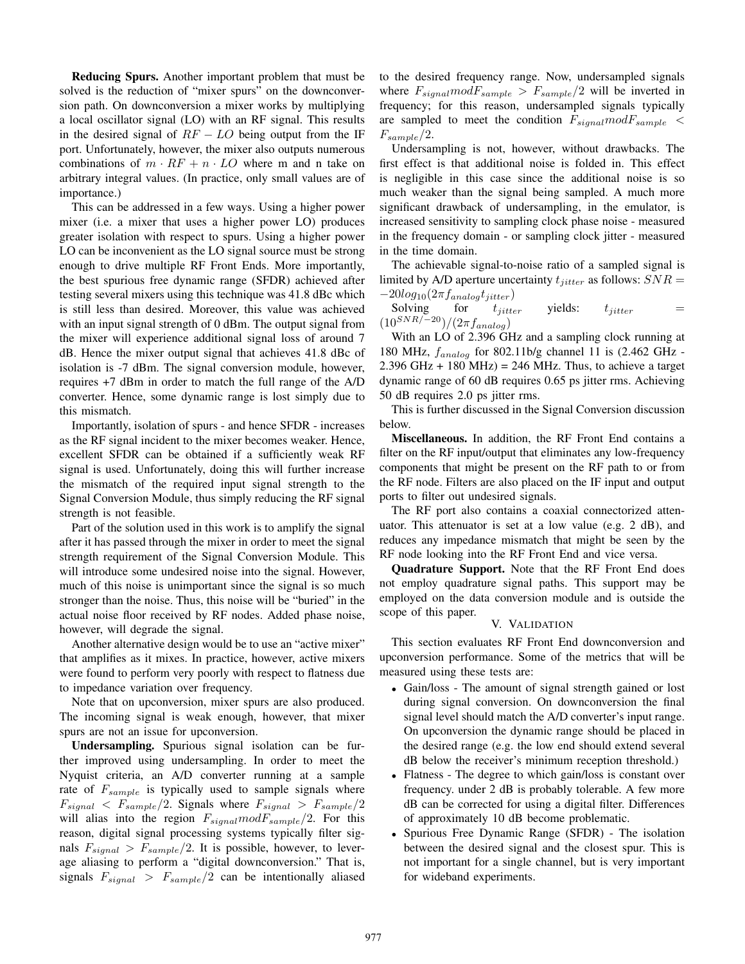**Reducing Spurs.** Another important problem that must be solved is the reduction of "mixer spurs" on the downconversion path. On downconversion a mixer works by multiplying a local oscillator signal (LO) with an RF signal. This results in the desired signal of RF *−* LO being output from the IF port. Unfortunately, however, the mixer also outputs numerous combinations of  $m \cdot RF + n \cdot LO$  where m and n take on arbitrary integral values. (In practice, only small values are of importance.)

This can be addressed in a few ways. Using a higher power mixer (i.e. a mixer that uses a higher power LO) produces greater isolation with respect to spurs. Using a higher power LO can be inconvenient as the LO signal source must be strong enough to drive multiple RF Front Ends. More importantly, the best spurious free dynamic range (SFDR) achieved after testing several mixers using this technique was 41.8 dBc which is still less than desired. Moreover, this value was achieved with an input signal strength of 0 dBm. The output signal from the mixer will experience additional signal loss of around 7 dB. Hence the mixer output signal that achieves 41.8 dBc of isolation is -7 dBm. The signal conversion module, however, requires +7 dBm in order to match the full range of the A/D converter. Hence, some dynamic range is lost simply due to this mismatch.

Importantly, isolation of spurs - and hence SFDR - increases as the RF signal incident to the mixer becomes weaker. Hence, excellent SFDR can be obtained if a sufficiently weak RF signal is used. Unfortunately, doing this will further increase the mismatch of the required input signal strength to the Signal Conversion Module, thus simply reducing the RF signal strength is not feasible.

Part of the solution used in this work is to amplify the signal after it has passed through the mixer in order to meet the signal strength requirement of the Signal Conversion Module. This will introduce some undesired noise into the signal. However, much of this noise is unimportant since the signal is so much stronger than the noise. Thus, this noise will be "buried" in the actual noise floor received by RF nodes. Added phase noise, however, will degrade the signal.

Another alternative design would be to use an "active mixer" that amplifies as it mixes. In practice, however, active mixers were found to perform very poorly with respect to flatness due to impedance variation over frequency.

Note that on upconversion, mixer spurs are also produced. The incoming signal is weak enough, however, that mixer spurs are not an issue for upconversion.

**Undersampling.** Spurious signal isolation can be further improved using undersampling. In order to meet the Nyquist criteria, an A/D converter running at a sample rate of  $F_{sample}$  is typically used to sample signals where  $F_{signal}$  <  $F_{sample}/2$ . Signals where  $F_{signal}$  >  $F_{sample}/2$ will alias into the region <sup>F</sup>*signal*modF*sample*/2. For this reason, digital signal processing systems typically filter signals  $F_{signal} > F_{sample}/2$ . It is possible, however, to leverage aliasing to perform a "digital downconversion." That is, signals <sup>F</sup>*signal* > F*sample*/<sup>2</sup> can be intentionally aliased to the desired frequency range. Now, undersampled signals where  $F_{signal}$ *mod* $F_{sample} > F_{sample}/2$  will be inverted in frequency; for this reason, undersampled signals typically are sampled to meet the condition <sup>F</sup>*signal*modF*sample* <sup>&</sup>lt; <sup>F</sup>*sample*/2.

Undersampling is not, however, without drawbacks. The first effect is that additional noise is folded in. This effect is negligible in this case since the additional noise is so much weaker than the signal being sampled. A much more significant drawback of undersampling, in the emulator, is increased sensitivity to sampling clock phase noise - measured in the frequency domain - or sampling clock jitter - measured in the time domain.

The achievable signal-to-noise ratio of a sampled signal is limited by A/D aperture uncertainty  $t_{jitter}$  as follows:  $SNR =$ 

*−*20log<sub>10</sub>(2π  $f_{analog}t_{jitter}$ )<br>**Solving** for  $t_{jitter}$ Solving for  $t_{jitter}$  yields:  $t_{jitter}$  =  $\frac{(10^{SNR/-20})}{(2\pi f_{analog})}$ 

With an LO of 2.396 GHz and a sampling clock running at 180 MHz, <sup>f</sup>*analog* for 802.11b/g channel 11 is (2.462 GHz -  $2.396$  GHz + 180 MHz) = 246 MHz. Thus, to achieve a target dynamic range of 60 dB requires 0.65 ps jitter rms. Achieving 50 dB requires 2.0 ps jitter rms.

This is further discussed in the Signal Conversion discussion below.

**Miscellaneous.** In addition, the RF Front End contains a filter on the RF input/output that eliminates any low-frequency components that might be present on the RF path to or from the RF node. Filters are also placed on the IF input and output ports to filter out undesired signals.

The RF port also contains a coaxial connectorized attenuator. This attenuator is set at a low value (e.g. 2 dB), and reduces any impedance mismatch that might be seen by the RF node looking into the RF Front End and vice versa.

**Quadrature Support.** Note that the RF Front End does not employ quadrature signal paths. This support may be employed on the data conversion module and is outside the scope of this paper.

### V. VALIDATION

This section evaluates RF Front End downconversion and upconversion performance. Some of the metrics that will be measured using these tests are:

- *•* Gain/loss The amount of signal strength gained or lost during signal conversion. On downconversion the final signal level should match the A/D converter's input range. On upconversion the dynamic range should be placed in the desired range (e.g. the low end should extend several dB below the receiver's minimum reception threshold.)
- *•* Flatness The degree to which gain/loss is constant over frequency. under 2 dB is probably tolerable. A few more dB can be corrected for using a digital filter. Differences of approximately 10 dB become problematic.
- *•* Spurious Free Dynamic Range (SFDR) The isolation between the desired signal and the closest spur. This is not important for a single channel, but is very important for wideband experiments.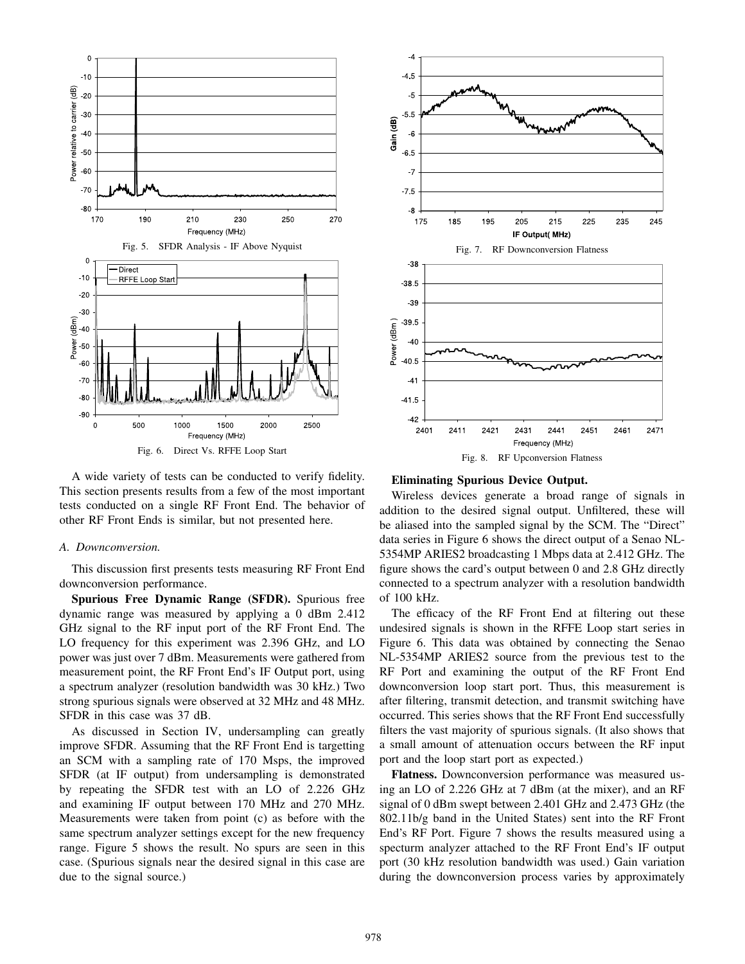

A wide variety of tests can be conducted to verify fidelity. This section presents results from a few of the most important tests conducted on a single RF Front End. The behavior of other RF Front Ends is similar, but not presented here.

### *A. Downconversion.*

This discussion first presents tests measuring RF Front End downconversion performance.

**Spurious Free Dynamic Range (SFDR).** Spurious free dynamic range was measured by applying a 0 dBm 2.412 GHz signal to the RF input port of the RF Front End. The LO frequency for this experiment was 2.396 GHz, and LO power was just over 7 dBm. Measurements were gathered from measurement point, the RF Front End's IF Output port, using a spectrum analyzer (resolution bandwidth was 30 kHz.) Two strong spurious signals were observed at 32 MHz and 48 MHz. SFDR in this case was 37 dB.

As discussed in Section IV, undersampling can greatly improve SFDR. Assuming that the RF Front End is targetting an SCM with a sampling rate of 170 Msps, the improved SFDR (at IF output) from undersampling is demonstrated by repeating the SFDR test with an LO of 2.226 GHz and examining IF output between 170 MHz and 270 MHz. Measurements were taken from point (c) as before with the same spectrum analyzer settings except for the new frequency range. Figure 5 shows the result. No spurs are seen in this case. (Spurious signals near the desired signal in this case are due to the signal source.)



**Eliminating Spurious Device Output.**

Wireless devices generate a broad range of signals in addition to the desired signal output. Unfiltered, these will be aliased into the sampled signal by the SCM. The "Direct" data series in Figure 6 shows the direct output of a Senao NL-5354MP ARIES2 broadcasting 1 Mbps data at 2.412 GHz. The figure shows the card's output between 0 and 2.8 GHz directly connected to a spectrum analyzer with a resolution bandwidth of 100 kHz.

The efficacy of the RF Front End at filtering out these undesired signals is shown in the RFFE Loop start series in Figure 6. This data was obtained by connecting the Senao NL-5354MP ARIES2 source from the previous test to the RF Port and examining the output of the RF Front End downconversion loop start port. Thus, this measurement is after filtering, transmit detection, and transmit switching have occurred. This series shows that the RF Front End successfully filters the vast majority of spurious signals. (It also shows that a small amount of attenuation occurs between the RF input port and the loop start port as expected.)

**Flatness.** Downconversion performance was measured using an LO of 2.226 GHz at 7 dBm (at the mixer), and an RF signal of 0 dBm swept between 2.401 GHz and 2.473 GHz (the 802.11b/g band in the United States) sent into the RF Front End's RF Port. Figure 7 shows the results measured using a specturm analyzer attached to the RF Front End's IF output port (30 kHz resolution bandwidth was used.) Gain variation during the downconversion process varies by approximately